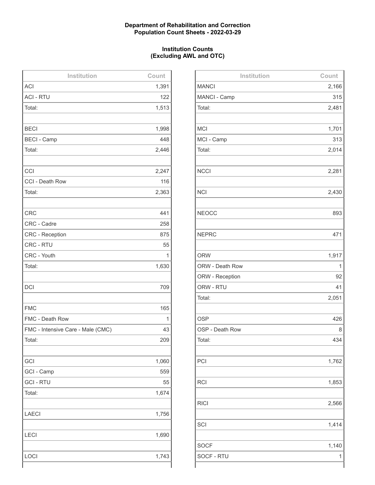## **Department of Rehabilitation and Correction Population Count Sheets - 2022-03-29**

## **Institution Counts (Excluding AWL and OTC)**

| Institution                       | Count |
|-----------------------------------|-------|
| <b>ACI</b>                        | 1,391 |
| <b>ACI - RTU</b>                  | 122   |
| Total:                            | 1,513 |
|                                   |       |
| <b>BECI</b>                       | 1,998 |
| <b>BECI - Camp</b>                | 448   |
| Total:                            | 2,446 |
|                                   |       |
| CCI                               | 2,247 |
| CCI - Death Row                   | 116   |
| Total:                            | 2,363 |
|                                   |       |
| <b>CRC</b>                        | 441   |
| CRC - Cadre                       | 258   |
| <b>CRC - Reception</b>            | 875   |
| <b>CRC - RTU</b>                  | 55    |
| CRC - Youth                       | 1     |
| Total:                            | 1,630 |
|                                   |       |
| <b>DCI</b>                        | 709   |
|                                   |       |
| <b>FMC</b>                        | 165   |
| FMC - Death Row                   | 1     |
| FMC - Intensive Care - Male (CMC) | 43    |
| Total:                            | 209   |
|                                   |       |
| GCI                               | 1,060 |
| GCI - Camp                        | 559   |
| <b>GCI - RTU</b>                  | 55    |
| Total:                            | 1,674 |
|                                   |       |
| <b>LAECI</b>                      | 1,756 |
|                                   |       |
| <b>LECI</b>                       | 1,690 |
|                                   |       |
| LOCI                              | 1,743 |
|                                   |       |

| Institution     | Count |
|-----------------|-------|
| <b>MANCI</b>    | 2,166 |
| MANCI - Camp    | 315   |
| Total:          | 2,481 |
|                 |       |
| <b>MCI</b>      | 1,701 |
| MCI - Camp      | 313   |
| Total:          | 2,014 |
|                 |       |
| <b>NCCI</b>     | 2,281 |
|                 |       |
| <b>NCI</b>      | 2,430 |
|                 |       |
| <b>NEOCC</b>    | 893   |
|                 |       |
| <b>NEPRC</b>    | 471   |
|                 |       |
| <b>ORW</b>      | 1,917 |
| ORW - Death Row | 1     |
| ORW - Reception | 92    |
| ORW - RTU       | 41    |
| Total:          | 2,051 |
|                 |       |
| <b>OSP</b>      | 426   |
| OSP - Death Row | 8     |
| Total:          | 434   |
|                 |       |
| PCI             | 1,762 |
|                 |       |
| <b>RCI</b>      | 1,853 |
|                 |       |
| <b>RICI</b>     | 2,566 |
|                 |       |
| SCI             | 1,414 |
|                 |       |
| <b>SOCF</b>     | 1,140 |
| SOCF - RTU      | 1     |
|                 |       |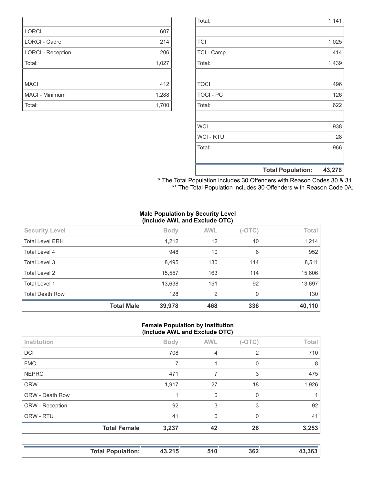|                  | <b>Total Population:</b> | 43,278 |
|------------------|--------------------------|--------|
|                  |                          |        |
| Total:           |                          | 966    |
| <b>WCI - RTU</b> |                          | 28     |
| <b>WCI</b>       |                          | 938    |
|                  |                          |        |
| Total:           |                          | 622    |
| <b>TOCI - PC</b> |                          | 126    |
| <b>TOCI</b>      |                          | 496    |
|                  |                          |        |
| Total:           |                          | 1,439  |
| TCI - Camp       |                          | 414    |
| <b>TCI</b>       |                          | 1,025  |
|                  |                          |        |
| Total:           |                          | 1,141  |

| * The Total Population includes 30 Offenders with Reason Codes 30 & 31. |  |  |
|-------------------------------------------------------------------------|--|--|
| ** The Total Population includes 30 Offenders with Reason Code 0A.      |  |  |

## **Male Population by Security Level (Include AWL and Exclude OTC)**

| <b>Security Level</b>  |                   | <b>Body</b> | <b>AWL</b> | $(-OTC)$ | Total  |
|------------------------|-------------------|-------------|------------|----------|--------|
| <b>Total Level ERH</b> |                   | 1,212       | 12         | 10       | 1,214  |
| Total Level 4          |                   | 948         | 10         | 6        | 952    |
| Total Level 3          |                   | 8,495       | 130        | 114      | 8,511  |
| <b>Total Level 2</b>   |                   | 15,557      | 163        | 114      | 15,606 |
| <b>Total Level 1</b>   |                   | 13,638      | 151        | 92       | 13,697 |
| <b>Total Death Row</b> |                   | 128         | 2          | 0        | 130    |
|                        | <b>Total Male</b> | 39,978      | 468        | 336      | 40,110 |

### **Female Population by Institution (Include AWL and Exclude OTC)**

| Institution     |                     | <b>Body</b> | <b>AWL</b> | $(-OTC)$ | Total |
|-----------------|---------------------|-------------|------------|----------|-------|
| <b>DCI</b>      |                     | 708         | 4          | 2        | 710   |
| <b>FMC</b>      |                     | 7           |            | 0        | 8     |
| <b>NEPRC</b>    |                     | 471         | 7          | 3        | 475   |
| <b>ORW</b>      |                     | 1,917       | 27         | 18       | 1,926 |
| ORW - Death Row |                     |             | $\Omega$   | $\Omega$ |       |
| ORW - Reception |                     | 92          | 3          | 3        | 92    |
| ORW - RTU       |                     | 41          | $\Omega$   | $\Omega$ | 41    |
|                 | <b>Total Female</b> | 3,237       | 42         | 26       | 3,253 |
|                 |                     |             |            |          |       |

| <b>Total Population:</b> | 43,215 | 51 C | 362 |  |
|--------------------------|--------|------|-----|--|
|--------------------------|--------|------|-----|--|

| <b>LORCI</b>             | 607   |
|--------------------------|-------|
| <b>LORCI - Cadre</b>     | 214   |
| <b>LORCI - Reception</b> | 206   |
| Total:                   | 1,027 |
|                          |       |
| <b>MACI</b>              | 412   |
| <b>MACI - Minimum</b>    | 1,288 |
| Total:                   | 1,700 |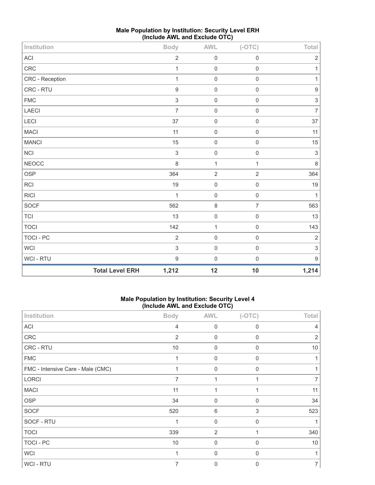| Institution     |                        | <b>Body</b>               | AWL            | $(-OTC)$            | Total                     |
|-----------------|------------------------|---------------------------|----------------|---------------------|---------------------------|
| ACI             |                        | $\sqrt{2}$                | $\mathbf 0$    | $\mathbf 0$         | $\overline{2}$            |
| CRC             |                        | $\mathbf{1}$              | $\mathbf 0$    | $\mathbf 0$         | 1                         |
| CRC - Reception |                        | $\mathbf{1}$              | $\mathbf 0$    | $\mathbf 0$         | $\mathbf{1}$              |
| CRC - RTU       |                        | $\overline{9}$            | $\mathbf 0$    | $\mathbf 0$         | $\boldsymbol{9}$          |
| ${\sf FMC}$     |                        | $\sqrt{3}$                | $\mathbf 0$    | $\mathbf 0$         | $\ensuremath{\mathsf{3}}$ |
| LAECI           |                        | $\overline{7}$            | $\mathbf 0$    | $\mathsf 0$         | $\overline{7}$            |
| LECI            |                        | 37                        | $\mathbf 0$    | $\mathbf 0$         | 37                        |
| <b>MACI</b>     |                        | 11                        | $\mathbf 0$    | $\mathbf 0$         | 11                        |
| <b>MANCI</b>    |                        | 15                        | $\mathbf 0$    | $\mathbf 0$         | $15\,$                    |
| NCI             |                        | $\sqrt{3}$                | $\mathbf 0$    | $\mathsf{O}\xspace$ | $\sqrt{3}$                |
| <b>NEOCC</b>    |                        | $\,8\,$                   | $\mathbf{1}$   | $\mathbf{1}$        | $\,8\,$                   |
| OSP             |                        | 364                       | $\overline{2}$ | $\overline{2}$      | 364                       |
| RCI             |                        | 19                        | $\mathbf 0$    | $\mathbf 0$         | 19                        |
| <b>RICI</b>     |                        | $\mathbf{1}$              | $\mathbf 0$    | $\mathbf 0$         | $\mathbf{1}$              |
| SOCF            |                        | 562                       | $\,8\,$        | $\overline{7}$      | 563                       |
| <b>TCI</b>      |                        | 13                        | $\mathbf 0$    | $\mathbf 0$         | 13                        |
| <b>TOCI</b>     |                        | 142                       | $\mathbf{1}$   | $\mathbf 0$         | 143                       |
| TOCI - PC       |                        | $\overline{2}$            | $\mathbf 0$    | $\mathbf 0$         | $\mathbf 2$               |
| <b>WCI</b>      |                        | $\ensuremath{\mathsf{3}}$ | $\mathbf 0$    | $\mathbf 0$         | $\ensuremath{\mathsf{3}}$ |
| WCI - RTU       |                        | $\mathbf 9$               | $\mathbf 0$    | $\mathbf 0$         | $\boldsymbol{9}$          |
|                 | <b>Total Level ERH</b> | 1,212                     | 12             | 10                  | 1,214                     |

## **Male Population by Institution: Security Level ERH (Include AWL and Exclude OTC)**

## **Male Population by Institution: Security Level 4 (Include AWL and Exclude OTC)**

| Institution                       | <b>Body</b>    | <b>AWL</b>     | $(-OTC)$     | <b>Total</b>   |
|-----------------------------------|----------------|----------------|--------------|----------------|
| ACI                               | $\overline{4}$ | $\mathbf 0$    | $\mathbf 0$  | 4              |
| CRC                               | $\overline{2}$ | $\mathbf 0$    | $\mathbf 0$  | 2              |
| CRC - RTU                         | 10             | $\mathbf 0$    | $\mathbf 0$  | 10             |
| <b>FMC</b>                        | 1              | $\mathbf 0$    | $\mathbf{0}$ |                |
| FMC - Intensive Care - Male (CMC) |                | $\mathbf 0$    | $\Omega$     |                |
| <b>LORCI</b>                      | $\overline{7}$ | 1              |              | 7              |
| <b>MACI</b>                       | 11             | 1              |              | 11             |
| <b>OSP</b>                        | 34             | $\mathbf 0$    | $\mathbf 0$  | 34             |
| <b>SOCF</b>                       | 520            | 6              | 3            | 523            |
| SOCF - RTU                        | 1              | $\mathbf 0$    | $\mathbf 0$  |                |
| <b>TOCI</b>                       | 339            | 2              |              | 340            |
| TOCI - PC                         | 10             | $\mathbf 0$    | $\mathbf 0$  | 10             |
| <b>WCI</b>                        |                | $\mathbf 0$    | 0            |                |
| WCI - RTU                         | 7              | $\overline{0}$ | $\Omega$     | $\overline{7}$ |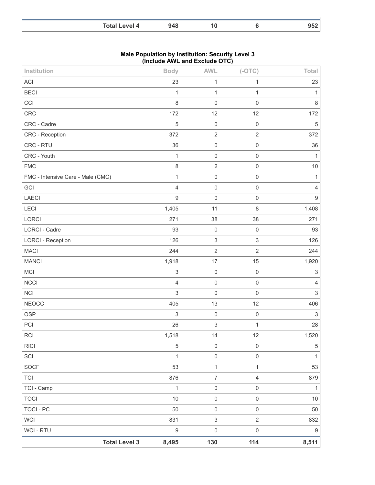| <b>Total</b><br>⊸vel 4 |  |  |
|------------------------|--|--|

### **Male Population by Institution: Security Level 3 (Include AWL and Exclude OTC)**

| Institution                       | <b>Body</b>               | <b>AWL</b>                | $(-OTC)$                  | Total            |
|-----------------------------------|---------------------------|---------------------------|---------------------------|------------------|
| ACI                               | 23                        | 1                         | 1                         | 23               |
| <b>BECI</b>                       | 1                         | 1                         | 1                         | 1                |
| CCI                               | $\,8\,$                   | $\mathbf 0$               | $\mathbf 0$               | $\,8\,$          |
| CRC                               | 172                       | 12                        | 12                        | 172              |
| CRC - Cadre                       | 5                         | $\mathbf 0$               | $\mathbf 0$               | $\mathbf 5$      |
| CRC - Reception                   | 372                       | $\overline{2}$            | $\mathbf{2}$              | 372              |
| CRC - RTU                         | 36                        | $\mathbf 0$               | $\mathsf 0$               | 36               |
| CRC - Youth                       | $\mathbf{1}$              | $\mathbf 0$               | $\mathbf 0$               | 1                |
| <b>FMC</b>                        | $\,8\,$                   | $\sqrt{2}$                | $\mathsf 0$               | $10$             |
| FMC - Intensive Care - Male (CMC) | $\mathbf{1}$              | $\mathbf 0$               | $\mathsf 0$               | 1                |
| GCI                               | $\overline{4}$            | $\mathbf 0$               | $\mathbf 0$               | 4                |
| LAECI                             | $\boldsymbol{9}$          | $\mathbf 0$               | $\mathsf{O}\xspace$       | $\boldsymbol{9}$ |
| <b>LECI</b>                       | 1,405                     | 11                        | 8                         | 1,408            |
| LORCI                             | 271                       | 38                        | 38                        | 271              |
| <b>LORCI - Cadre</b>              | 93                        | $\mathbf 0$               | $\mathbf 0$               | 93               |
| <b>LORCI - Reception</b>          | 126                       | $\ensuremath{\mathsf{3}}$ | $\ensuremath{\mathsf{3}}$ | 126              |
| <b>MACI</b>                       | 244                       | $\sqrt{2}$                | $\overline{2}$            | 244              |
| <b>MANCI</b>                      | 1,918                     | 17                        | 15                        | 1,920            |
| MCI                               | $\ensuremath{\mathsf{3}}$ | $\mathbf 0$               | $\mathbf 0$               | 3                |
| <b>NCCI</b>                       | $\overline{4}$            | $\mathbf 0$               | $\mathbf 0$               | 4                |
| <b>NCI</b>                        | $\sqrt{3}$                | $\mathbf 0$               | $\mathbf 0$               | $\,$ 3 $\,$      |
| <b>NEOCC</b>                      | 405                       | 13                        | 12                        | 406              |
| OSP                               | $\,$ 3 $\,$               | $\mathbf 0$               | $\mathbf 0$               | $\sqrt{3}$       |
| PCI                               | 26                        | $\ensuremath{\mathsf{3}}$ | $\mathbf{1}$              | 28               |
| <b>RCI</b>                        | 1,518                     | 14                        | 12                        | 1,520            |
| <b>RICI</b>                       | $\,$ 5 $\,$               | $\mathsf 0$               | $\mathsf{O}\xspace$       | $\,$ 5 $\,$      |
| SCI                               | $\mathbf{1}$              | $\mathbf 0$               | $\mathsf{O}\xspace$       | $\mathbf{1}$     |
| SOCF                              | 53                        | $\mathbf{1}$              | 1                         | 53               |
| TCI                               | 876                       | $\overline{7}$            | $\overline{4}$            | 879              |
| TCI - Camp                        | $\mathbf 1$               | $\mathsf 0$               | $\mathsf{O}\xspace$       | $\mathbf{1}$     |
| <b>TOCI</b>                       | $10$                      | $\mathbf 0$               | $\mathsf{O}\xspace$       | $10$             |
| <b>TOCI - PC</b>                  | 50                        | $\mathsf 0$               | $\mathsf{O}\xspace$       | 50               |
| <b>WCI</b>                        | 831                       | $\ensuremath{\mathsf{3}}$ | $\overline{2}$            | 832              |
| WCI - RTU                         | $\boldsymbol{9}$          | $\mathsf 0$               | $\mathsf{O}\xspace$       | $\boldsymbol{9}$ |
| <b>Total Level 3</b>              | 8,495                     | 130                       | 114                       | 8,511            |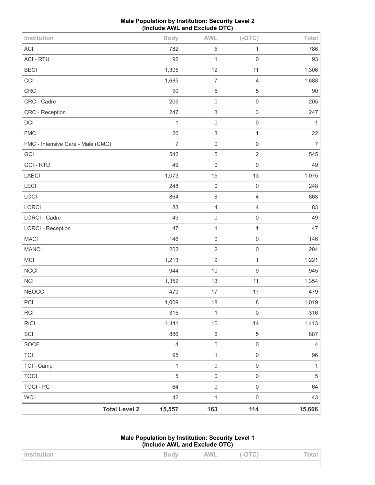| Male Population by Institution: Security Level 2 |
|--------------------------------------------------|
| (Include AWL and Exclude OTC)                    |

| <b>WCI</b>                        | 42             | $\mathbf 1$      | $\mathsf{O}\xspace$    | 43             |
|-----------------------------------|----------------|------------------|------------------------|----------------|
| <b>TOCI - PC</b>                  | 64             | $\mathbf 0$      | $\mathsf{O}\xspace$    | 64             |
| <b>TOCI</b>                       | $\sqrt{5}$     | $\mathbf 0$      | $\mathsf{O}\xspace$    | $\mathbf 5$    |
| TCI - Camp                        | 1              | $\mathbf 0$      | $\mathsf{O}\xspace$    | 1              |
| <b>TCI</b>                        | 95             | $\mathbf{1}$     | $\mathsf{O}\xspace$    | 96             |
| <b>SOCF</b>                       | $\overline{4}$ | $\mathbf 0$      | $\mathsf{O}\xspace$    | $\overline{4}$ |
| SCI                               | 886            | $\,6\,$          | 5                      | 887            |
| <b>RICI</b>                       | 1,411          | 16               | 14                     | 1,413          |
| <b>RCI</b>                        | 315            | 1                | $\mathbf 0$            | 316            |
| PCI                               | 1,009          | 18               | $\,8\,$                | 1,019          |
| <b>NEOCC</b>                      | 1,352<br>479   | 13<br>17         | $17$                   | 1,354<br>479   |
| <b>NCCI</b><br><b>NCI</b>         | 944            | 10               | $\boldsymbol{9}$<br>11 | 945            |
| MCI                               | 1,213          | $\boldsymbol{9}$ | 1                      | 1,221          |
| <b>MANCI</b>                      | 202            | $\sqrt{2}$       | $\mathsf{O}\xspace$    | 204            |
| <b>MACI</b>                       | 146            | $\mathbf 0$      | $\mathsf{O}\xspace$    | 146            |
| <b>LORCI - Reception</b>          | 47             | $\mathbf{1}$     | $\mathbf{1}$           | 47             |
| <b>LORCI - Cadre</b>              | 49             | $\mathbf 0$      | $\mathbf 0$            | 49             |
| LORCI                             | 83             | $\sqrt{4}$       | $\sqrt{4}$             | 83             |
| LOCI                              | 864            | $\,8\,$          | $\overline{4}$         | 868            |
| <b>LECI</b>                       | 248            | $\mathbf 0$      | $\mathbf 0$            | 248            |
| LAECI                             | 1,073          | 15               | 13                     | 1,075          |
| <b>GCI-RTU</b>                    | 49             | $\mathbf 0$      | $\mathbf 0$            | 49             |
| GCI                               | 542            | $\sqrt{5}$       | $\overline{2}$         | 545            |
| FMC - Intensive Care - Male (CMC) | $\overline{7}$ | $\mathbf 0$      | $\mathbf 0$            | $\overline{7}$ |
| <b>FMC</b>                        | 20             | $\mathfrak{S}$   | 1                      | 22             |
| DCI                               | 1              | $\mathbf 0$      | $\mathbf 0$            | 1              |
| <b>CRC</b> - Reception            | 247            | $\sqrt{3}$       | 3                      | 247            |
| CRC - Cadre                       | 205            | $\mathbf 0$      | $\mathbf 0$            | 205            |
| <b>CRC</b>                        | 90             | $\sqrt{5}$       | 5                      | $90\,$         |
| CCI                               | 1,685          | $\overline{7}$   | $\overline{4}$         | 1,688          |
| <b>BECI</b>                       | 1,305          | 12               | 11                     | 1,306          |
| <b>ACI - RTU</b>                  | 92             | $\mathbf{1}$     | $\mathbf 0$            | 93             |
| ACI                               | 782            | $\sqrt{5}$       | 1                      | 786            |
| Institution                       | <b>Body</b>    | <b>AWL</b>       | $(-OTC)$               | Total          |

| Male Population by Institution: Security Level 1 |
|--------------------------------------------------|
| (Include AWL and Exclude OTC)                    |

| Institution | $\Sigma \sim \mathcal{A}_{\text{max}}$<br>puu | <b>AWL</b> | $\mathbf{N}(\mathbf{G})$ .<br>$-5$ | Total |
|-------------|-----------------------------------------------|------------|------------------------------------|-------|
|             |                                               |            |                                    |       |